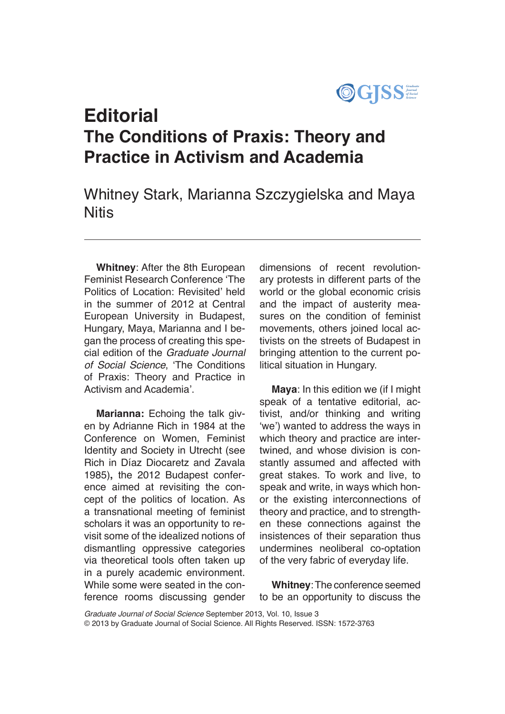

# **Editorial The Conditions of Praxis: Theory and Practice in Activism and Academia**

Whitney Stark, Marianna Szczygielska and Maya **Nitis** 

**Whitney**: After the 8th European Feminist Research Conference 'The Politics of Location: Revisited' held in the summer of 2012 at Central European University in Budapest, Hungary, Maya, Marianna and I began the process of creating this special edition of the *Graduate Journal of Social Science*, 'The Conditions of Praxis: Theory and Practice in Activism and Academia'.

**Marianna:** Echoing the talk given by Adrianne Rich in 1984 at the Conference on Women, Feminist Identity and Society in Utrecht (see Rich in Díaz Diocaretz and Zavala 1985)**,** the 2012 Budapest conference aimed at revisiting the concept of the politics of location. As a transnational meeting of feminist scholars it was an opportunity to revisit some of the idealized notions of dismantling oppressive categories via theoretical tools often taken up in a purely academic environment. While some were seated in the conference rooms discussing gender dimensions of recent revolutionary protests in different parts of the world or the global economic crisis and the impact of austerity measures on the condition of feminist movements, others joined local activists on the streets of Budapest in bringing attention to the current political situation in Hungary.

**Maya**: In this edition we (if I might speak of a tentative editorial, activist, and/or thinking and writing 'we') wanted to address the ways in which theory and practice are intertwined, and whose division is constantly assumed and affected with great stakes. To work and live, to speak and write, in ways which honor the existing interconnections of theory and practice, and to strengthen these connections against the insistences of their separation thus undermines neoliberal co-optation of the very fabric of everyday life.

**Whitney**: The conference seemed to be an opportunity to discuss the

*Graduate Journal of Social Science* September 2013, Vol. 10, Issue 3 © 2013 by Graduate Journal of Social Science. All Rights Reserved. ISSN: 1572-3763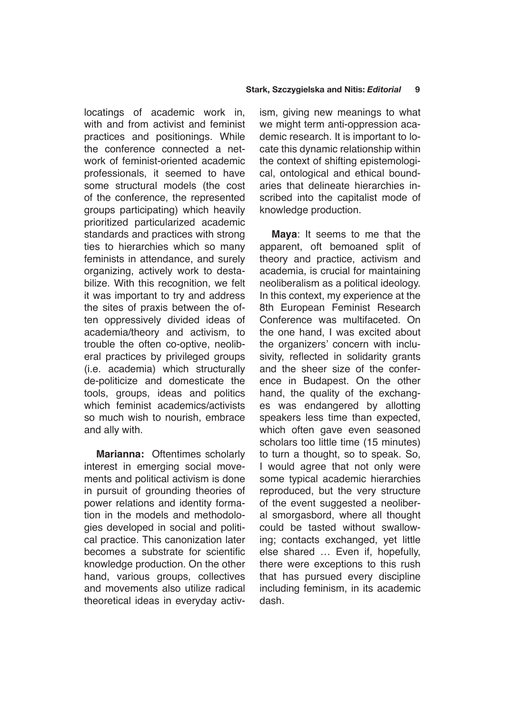locatings of academic work in, with and from activist and feminist practices and positionings. While the conference connected a network of feminist-oriented academic professionals, it seemed to have some structural models (the cost of the conference, the represented groups participating) which heavily prioritized particularized academic standards and practices with strong ties to hierarchies which so many feminists in attendance, and surely organizing, actively work to destabilize. With this recognition, we felt it was important to try and address the sites of praxis between the often oppressively divided ideas of academia/theory and activism, to trouble the often co-optive, neoliberal practices by privileged groups (i.e. academia) which structurally de-politicize and domesticate the tools, groups, ideas and politics which feminist academics/activists so much wish to nourish, embrace and ally with.

**Marianna:** Oftentimes scholarly interest in emerging social movements and political activism is done in pursuit of grounding theories of power relations and identity formation in the models and methodologies developed in social and political practice. This canonization later becomes a substrate for scientific knowledge production. On the other hand, various groups, collectives and movements also utilize radical theoretical ideas in everyday activism, giving new meanings to what we might term anti-oppression academic research. It is important to locate this dynamic relationship within the context of shifting epistemological, ontological and ethical boundaries that delineate hierarchies inscribed into the capitalist mode of knowledge production.

**Maya**: It seems to me that the apparent, oft bemoaned split of theory and practice, activism and academia, is crucial for maintaining neoliberalism as a political ideology. In this context, my experience at the 8th European Feminist Research Conference was multifaceted. On the one hand, I was excited about the organizers' concern with inclusivity, reflected in solidarity grants and the sheer size of the conference in Budapest. On the other hand, the quality of the exchanges was endangered by allotting speakers less time than expected, which often gave even seasoned scholars too little time (15 minutes) to turn a thought, so to speak. So, I would agree that not only were some typical academic hierarchies reproduced, but the very structure of the event suggested a neoliberal smorgasbord, where all thought could be tasted without swallowing; contacts exchanged, yet little else shared … Even if, hopefully, there were exceptions to this rush that has pursued every discipline including feminism, in its academic dash.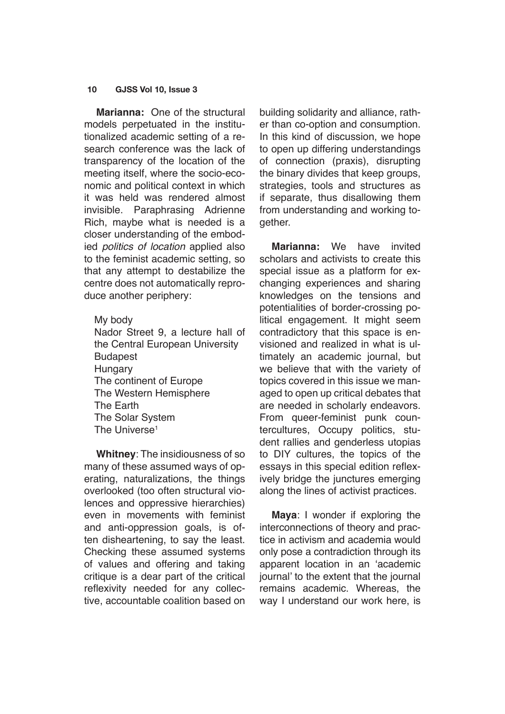#### **10 GJSS Vol 10, Issue 3**

**Marianna:** One of the structural models perpetuated in the institutionalized academic setting of a research conference was the lack of transparency of the location of the meeting itself, where the socio-economic and political context in which it was held was rendered almost invisible. Paraphrasing Adrienne Rich, maybe what is needed is a closer understanding of the embodied *politics of location* applied also to the feminist academic setting, so that any attempt to destabilize the centre does not automatically reproduce another periphery:

My body Nador Street 9, a lecture hall of the Central European University Budapest **Hungary** The continent of Europe The Western Hemisphere The Earth The Solar System The Universe<sup>1</sup>

**Whitney**: The insidiousness of so many of these assumed ways of operating, naturalizations, the things overlooked (too often structural violences and oppressive hierarchies) even in movements with feminist and anti-oppression goals, is often disheartening, to say the least. Checking these assumed systems of values and offering and taking critique is a dear part of the critical reflexivity needed for any collective, accountable coalition based on building solidarity and alliance, rather than co-option and consumption. In this kind of discussion, we hope to open up differing understandings of connection (praxis), disrupting the binary divides that keep groups, strategies, tools and structures as if separate, thus disallowing them from understanding and working together.

**Marianna:** We have invited scholars and activists to create this special issue as a platform for exchanging experiences and sharing knowledges on the tensions and potentialities of border-crossing political engagement. It might seem contradictory that this space is envisioned and realized in what is ultimately an academic journal, but we believe that with the variety of topics covered in this issue we managed to open up critical debates that are needed in scholarly endeavors. From queer-feminist punk countercultures, Occupy politics, student rallies and genderless utopias to DIY cultures, the topics of the essays in this special edition reflexively bridge the junctures emerging along the lines of activist practices.

**Maya**: I wonder if exploring the interconnections of theory and practice in activism and academia would only pose a contradiction through its apparent location in an 'academic journal' to the extent that the journal remains academic. Whereas, the way I understand our work here, is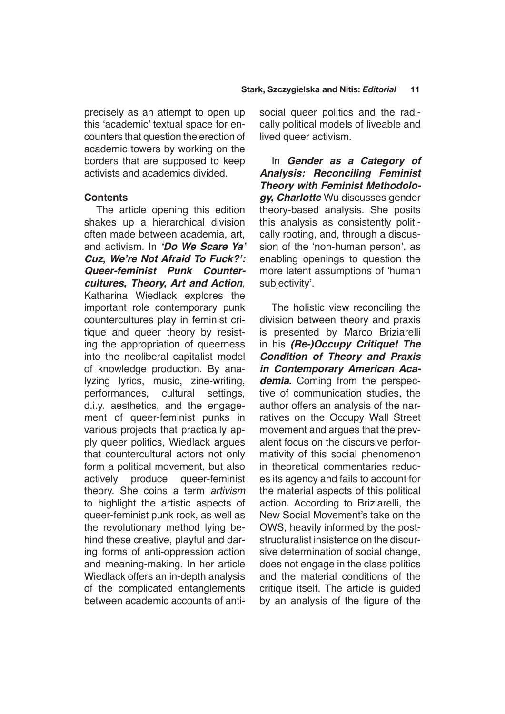precisely as an attempt to open up this 'academic' textual space for encounters that question the erection of academic towers by working on the borders that are supposed to keep activists and academics divided.

# **Contents**

The article opening this edition shakes up a hierarchical division often made between academia, art, and activism. In **'Do We Scare Ya' Cuz, We're Not Afraid To Fuck?': Queer-feminist Punk Countercultures, Theory, Art and Action**, Katharina Wiedlack explores the important role contemporary punk countercultures play in feminist critique and queer theory by resisting the appropriation of queerness into the neoliberal capitalist model of knowledge production. By analyzing lyrics, music, zine-writing, performances, cultural settings, d.i.y. aesthetics, and the engagement of queer-feminist punks in various projects that practically apply queer politics, Wiedlack argues that countercultural actors not only form a political movement, but also actively produce queer-feminist theory. She coins a term *artivism* to highlight the artistic aspects of queer-feminist punk rock, as well as the revolutionary method lying behind these creative, playful and daring forms of anti-oppression action and meaning-making. In her article Wiedlack offers an in-depth analysis of the complicated entanglements between academic accounts of antisocial queer politics and the radically political models of liveable and lived queer activism.

In **Gender as a Category of Analysis: Reconciling Feminist Theory with Feminist Methodology, Charlotte** Wu discusses gender theory-based analysis. She posits this analysis as consistently politically rooting, and, through a discussion of the 'non-human person', as enabling openings to question the more latent assumptions of 'human subjectivity'.

The holistic view reconciling the division between theory and praxis is presented by Marco Briziarelli in his **(Re-)Occupy Critique! The Condition of Theory and Praxis in Contemporary American Academia.** Coming from the perspective of communication studies, the author offers an analysis of the narratives on the Occupy Wall Street movement and argues that the prevalent focus on the discursive performativity of this social phenomenon in theoretical commentaries reduces its agency and fails to account for the material aspects of this political action. According to Briziarelli, the New Social Movement's take on the OWS, heavily informed by the poststructuralist insistence on the discursive determination of social change, does not engage in the class politics and the material conditions of the critique itself. The article is guided by an analysis of the figure of the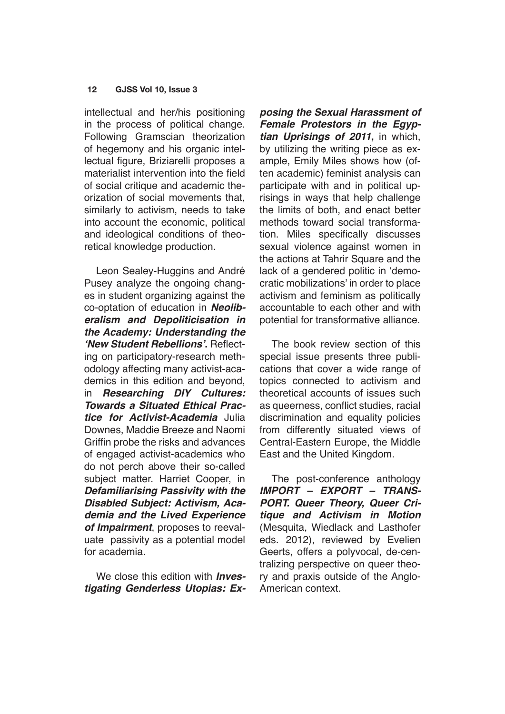#### **12 GJSS Vol 10, Issue 3**

intellectual and her/his positioning in the process of political change. Following Gramscian theorization of hegemony and his organic intellectual figure, Briziarelli proposes a materialist intervention into the field of social critique and academic theorization of social movements that, similarly to activism, needs to take into account the economic, political and ideological conditions of theoretical knowledge production.

Leon Sealey-Huggins and André Pusey analyze the ongoing changes in student organizing against the co-optation of education in **Neoliberalism and Depoliticisation in the Academy: Understanding the 'New Student Rebellions'.** Reflecting on participatory-research methodology affecting many activist-academics in this edition and beyond, in **Researching DIY Cultures: Towards a Situated Ethical Practice for Activist-Academia** Julia Downes, Maddie Breeze and Naomi Griffin probe the risks and advances of engaged activist-academics who do not perch above their so-called subject matter. Harriet Cooper, in **Defamiliarising Passivity with the Disabled Subject: Activism, Academia and the Lived Experience of Impairment**, proposes to reevaluate passivity as a potential model for academia.

We close this edition with **Investigating Genderless Utopias: Ex-**

**posing the Sexual Harassment of Female Protestors in the Egyptian Uprisings of 2011,** in which, by utilizing the writing piece as example, Emily Miles shows how (often academic) feminist analysis can participate with and in political uprisings in ways that help challenge the limits of both, and enact better methods toward social transformation. Miles specifically discusses sexual violence against women in the actions at Tahrir Square and the lack of a gendered politic in 'democratic mobilizations' in order to place activism and feminism as politically accountable to each other and with potential for transformative alliance.

The book review section of this special issue presents three publications that cover a wide range of topics connected to activism and theoretical accounts of issues such as queerness, conflict studies, racial discrimination and equality policies from differently situated views of Central-Eastern Europe, the Middle East and the United Kingdom.

The post-conference anthology **IMPORT – EXPORT – TRANS-PORT. Queer Theory, Queer Critique and Activism in Motion** (Mesquita, Wiedlack and Lasthofer eds. 2012), reviewed by Evelien Geerts, offers a polyvocal, de-centralizing perspective on queer theory and praxis outside of the Anglo-American context.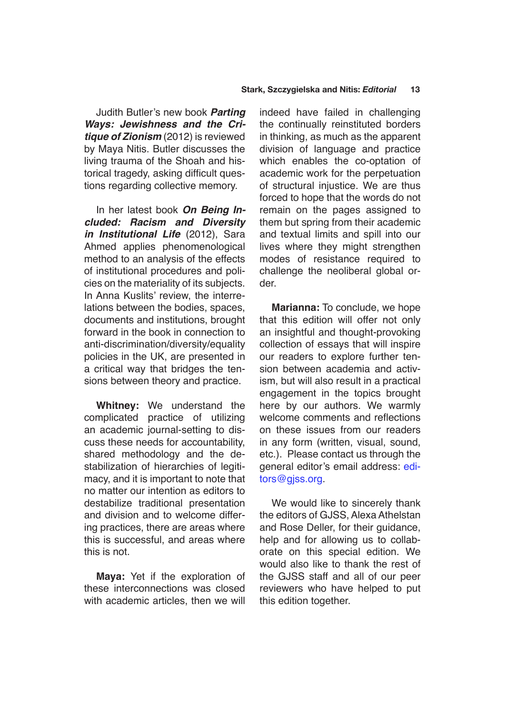Judith Butler's new book **Parting Ways: Jewishness and the Critique of Zionism** (2012) is reviewed by Maya Nitis. Butler discusses the living trauma of the Shoah and historical tragedy, asking difficult questions regarding collective memory.

In her latest book **On Being Included: Racism and Diversity in Institutional Life** (2012), Sara Ahmed applies phenomenological method to an analysis of the effects of institutional procedures and policies on the materiality of its subjects. In Anna Kuslits' review, the interrelations between the bodies, spaces, documents and institutions, brought forward in the book in connection to anti-discrimination/diversity/equality policies in the UK, are presented in a critical way that bridges the tensions between theory and practice.

**Whitney:** We understand the complicated practice of utilizing an academic journal-setting to discuss these needs for accountability, shared methodology and the destabilization of hierarchies of legitimacy, and it is important to note that no matter our intention as editors to destabilize traditional presentation and division and to welcome differing practices, there are areas where this is successful, and areas where this is not.

**Maya:** Yet if the exploration of these interconnections was closed with academic articles, then we will indeed have failed in challenging the continually reinstituted borders in thinking, as much as the apparent division of language and practice which enables the co-optation of academic work for the perpetuation of structural injustice. We are thus forced to hope that the words do not remain on the pages assigned to them but spring from their academic and textual limits and spill into our lives where they might strengthen modes of resistance required to challenge the neoliberal global order.

**Marianna:** To conclude, we hope that this edition will offer not only an insightful and thought-provoking collection of essays that will inspire our readers to explore further tension between academia and activism, but will also result in a practical engagement in the topics brought here by our authors. We warmly welcome comments and reflections on these issues from our readers in any form (written, visual, sound, etc.). Please contact us through the general editor's email address: [edi](mailto:editors%40gjss.org?subject=)[tors@gjss.org](mailto:editors%40gjss.org?subject=).

We would like to sincerely thank the editors of GJSS, Alexa Athelstan and Rose Deller, for their guidance, help and for allowing us to collaborate on this special edition. We would also like to thank the rest of the GJSS staff and all of our peer reviewers who have helped to put this edition together.